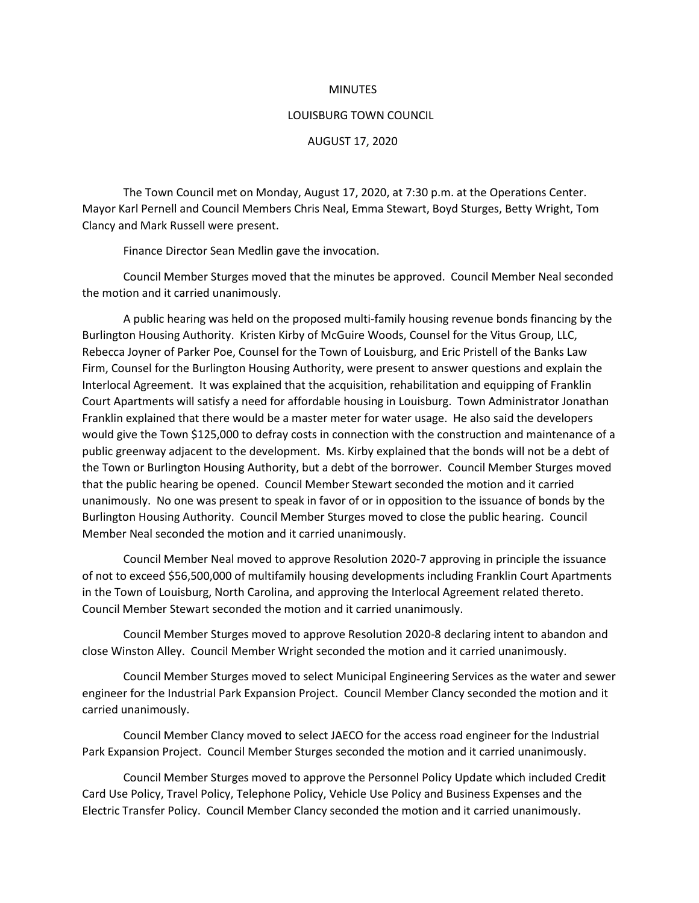## MINUTES

## LOUISBURG TOWN COUNCIL

## AUGUST 17, 2020

The Town Council met on Monday, August 17, 2020, at 7:30 p.m. at the Operations Center. Mayor Karl Pernell and Council Members Chris Neal, Emma Stewart, Boyd Sturges, Betty Wright, Tom Clancy and Mark Russell were present.

Finance Director Sean Medlin gave the invocation.

Council Member Sturges moved that the minutes be approved. Council Member Neal seconded the motion and it carried unanimously.

A public hearing was held on the proposed multi-family housing revenue bonds financing by the Burlington Housing Authority. Kristen Kirby of McGuire Woods, Counsel for the Vitus Group, LLC, Rebecca Joyner of Parker Poe, Counsel for the Town of Louisburg, and Eric Pristell of the Banks Law Firm, Counsel for the Burlington Housing Authority, were present to answer questions and explain the Interlocal Agreement. It was explained that the acquisition, rehabilitation and equipping of Franklin Court Apartments will satisfy a need for affordable housing in Louisburg. Town Administrator Jonathan Franklin explained that there would be a master meter for water usage. He also said the developers would give the Town \$125,000 to defray costs in connection with the construction and maintenance of a public greenway adjacent to the development. Ms. Kirby explained that the bonds will not be a debt of the Town or Burlington Housing Authority, but a debt of the borrower. Council Member Sturges moved that the public hearing be opened. Council Member Stewart seconded the motion and it carried unanimously. No one was present to speak in favor of or in opposition to the issuance of bonds by the Burlington Housing Authority. Council Member Sturges moved to close the public hearing. Council Member Neal seconded the motion and it carried unanimously.

Council Member Neal moved to approve Resolution 2020-7 approving in principle the issuance of not to exceed \$56,500,000 of multifamily housing developments including Franklin Court Apartments in the Town of Louisburg, North Carolina, and approving the Interlocal Agreement related thereto. Council Member Stewart seconded the motion and it carried unanimously.

Council Member Sturges moved to approve Resolution 2020-8 declaring intent to abandon and close Winston Alley. Council Member Wright seconded the motion and it carried unanimously.

Council Member Sturges moved to select Municipal Engineering Services as the water and sewer engineer for the Industrial Park Expansion Project. Council Member Clancy seconded the motion and it carried unanimously.

Council Member Clancy moved to select JAECO for the access road engineer for the Industrial Park Expansion Project. Council Member Sturges seconded the motion and it carried unanimously.

Council Member Sturges moved to approve the Personnel Policy Update which included Credit Card Use Policy, Travel Policy, Telephone Policy, Vehicle Use Policy and Business Expenses and the Electric Transfer Policy. Council Member Clancy seconded the motion and it carried unanimously.